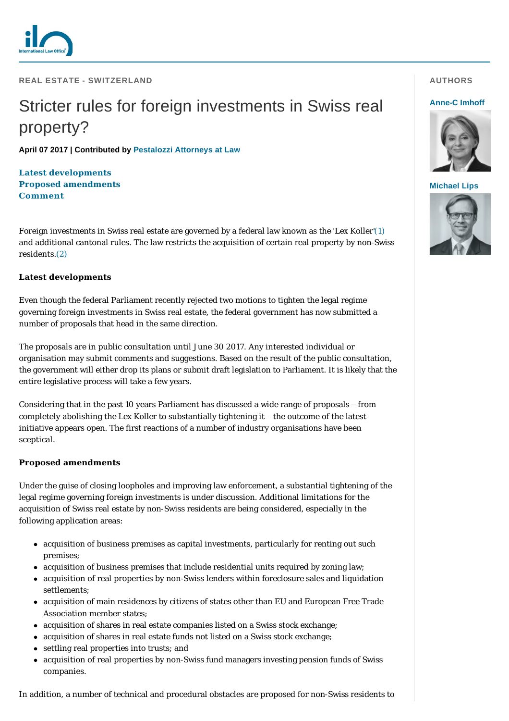

**REAL ESTATE - SWITZERLAND** 

# Stricter rules for foreign investments in Swiss real property?

**April 07 2017 | Contributed by [Pestalozzi Attorneys at Law](http://www.internationallawoffice.com/gesr.ashx?l=7UGSJ5P)**

**[Latest developments](#page-0-0) [Proposed amendments](#page-0-1) [Comment](#page-1-0)**

Foreign investments in Swiss real estate are governed by a federal law known as the *'Lex Koller*'[\(1\)](#page-1-1) and additional cantonal rules. The law restricts the acquisition of certain real property by non-Swiss residents.[\(2\)](#page-1-2)

## <span id="page-0-0"></span>**Latest developments**

Even though the federal Parliament recently rejected two motions to tighten the legal regime governing foreign investments in Swiss real estate, the federal government has now submitted a number of proposals that head in the same direction.

The proposals are in public consultation until June 30 2017. Any interested individual or organisation may submit comments and suggestions. Based on the result of the public consultation, the government will either drop its plans or submit draft legislation to Parliament. It is likely that the entire legislative process will take a few years.

Considering that in the past 10 years Parliament has discussed a wide range of proposals – from completely abolishing the *Lex Koller* to substantially tightening it – the outcome of the latest initiative appears open. The first reactions of a number of industry organisations have been sceptical.

### <span id="page-0-1"></span>**Proposed amendments**

Under the guise of closing loopholes and improving law enforcement, a substantial tightening of the legal regime governing foreign investments is under discussion. Additional limitations for the acquisition of Swiss real estate by non-Swiss residents are being considered, especially in the following application areas:

- acquisition of business premises as capital investments, particularly for renting out such premises;
- acquisition of business premises that include residential units required by zoning law;
- acquisition of real properties by non-Swiss lenders within foreclosure sales and liquidation settlements;
- acquisition of main residences by citizens of states other than EU and European Free Trade Association member states;
- acquisition of shares in real estate companies listed on a Swiss stock exchange;
- acquisition of shares in real estate funds not listed on a Swiss stock exchange;
- settling real properties into trusts; and
- acquisition of real properties by non-Swiss fund managers investing pension funds of Swiss companies.

In addition, a number of technical and procedural obstacles are proposed for non-Swiss residents to

## **AUTHORS**

#### **[Anne-C Imhoff](http://www.internationallawoffice.com/gesr.ashx?l=7UGSJ6D)**



#### **[Michael Lips](http://www.internationallawoffice.com/gesr.ashx?l=7UGSJ6G)**